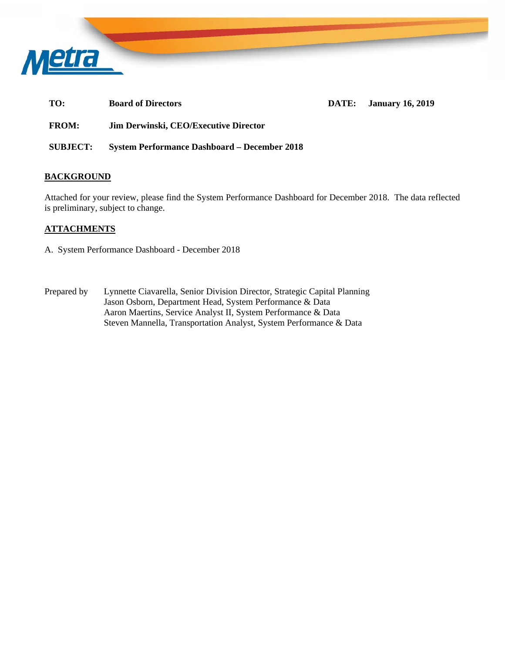

**TO: Board of Directors DATE: January 16, 2019** 

**FROM: Jim Derwinski, CEO/Executive Director** 

**SUBJECT: System Performance Dashboard – December 2018** 

## **BACKGROUND**

Attached for your review, please find the System Performance Dashboard for December 2018. The data reflected is preliminary, subject to change.

## **ATTACHMENTS**

- A. System Performance Dashboard December 2018
- Prepared by Lynnette Ciavarella, Senior Division Director, Strategic Capital Planning Jason Osborn, Department Head, System Performance & Data Aaron Maertins, Service Analyst II, System Performance & Data Steven Mannella, Transportation Analyst, System Performance & Data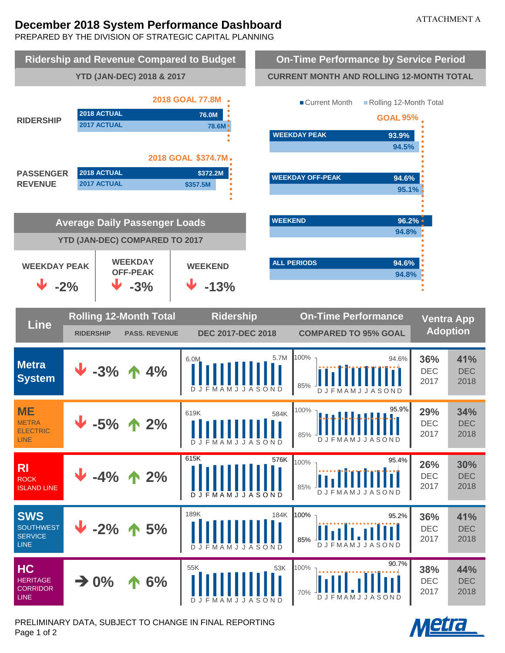# **December 2018 System Performance Dashboard**

PREPARED BY THE DIVISION OF STRATEGIC CAPITAL PLANNING